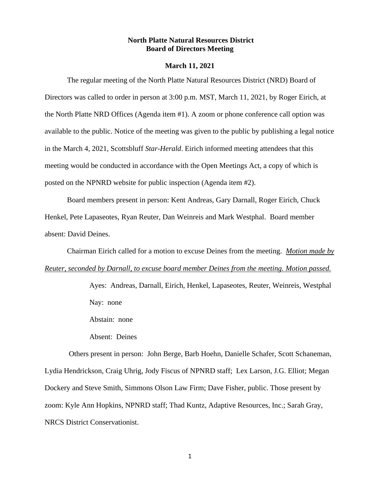### **North Platte Natural Resources District Board of Directors Meeting**

#### **March 11, 2021**

The regular meeting of the North Platte Natural Resources District (NRD) Board of Directors was called to order in person at 3:00 p.m. MST, March 11, 2021, by Roger Eirich, at the North Platte NRD Offices (Agenda item #1). A zoom or phone conference call option was available to the public. Notice of the meeting was given to the public by publishing a legal notice in the March 4, 2021, Scottsbluff *Star-Herald*. Eirich informed meeting attendees that this meeting would be conducted in accordance with the Open Meetings Act, a copy of which is posted on the NPNRD website for public inspection (Agenda item #2).

Board members present in person: Kent Andreas, Gary Darnall, Roger Eirich, Chuck Henkel, Pete Lapaseotes, Ryan Reuter, Dan Weinreis and Mark Westphal. Board member absent: David Deines.

Chairman Eirich called for a motion to excuse Deines from the meeting. *Motion made by Reuter, seconded by Darnall, to excuse board member Deines from the meeting. Motion passed.*

> Ayes: Andreas, Darnall, Eirich, Henkel, Lapaseotes, Reuter, Weinreis, Westphal Nay: none

Abstain: none

Absent: Deines

Others present in person: John Berge, Barb Hoehn, Danielle Schafer, Scott Schaneman, Lydia Hendrickson, Craig Uhrig, Jody Fiscus of NPNRD staff; Lex Larson, J.G. Elliot; Megan Dockery and Steve Smith, Simmons Olson Law Firm; Dave Fisher, public. Those present by zoom: Kyle Ann Hopkins, NPNRD staff; Thad Kuntz, Adaptive Resources, Inc.; Sarah Gray, NRCS District Conservationist.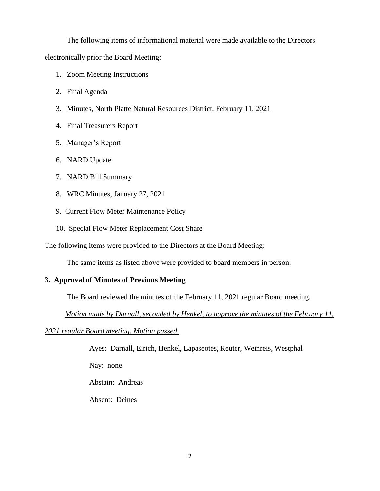The following items of informational material were made available to the Directors

electronically prior the Board Meeting:

- 1. Zoom Meeting Instructions
- 2. Final Agenda
- 3. Minutes, North Platte Natural Resources District, February 11, 2021
- 4. Final Treasurers Report
- 5. Manager's Report
- 6. NARD Update
- 7. NARD Bill Summary
- 8. WRC Minutes, January 27, 2021
- 9. Current Flow Meter Maintenance Policy
- 10. Special Flow Meter Replacement Cost Share

The following items were provided to the Directors at the Board Meeting:

The same items as listed above were provided to board members in person.

## **3. Approval of Minutes of Previous Meeting**

The Board reviewed the minutes of the February 11, 2021 regular Board meeting.

 *Motion made by Darnall, seconded by Henkel, to approve the minutes of the February 11,* 

*2021 regular Board meeting. Motion passed.*

Ayes: Darnall, Eirich, Henkel, Lapaseotes, Reuter, Weinreis, Westphal

Nay: none

Abstain: Andreas

Absent: Deines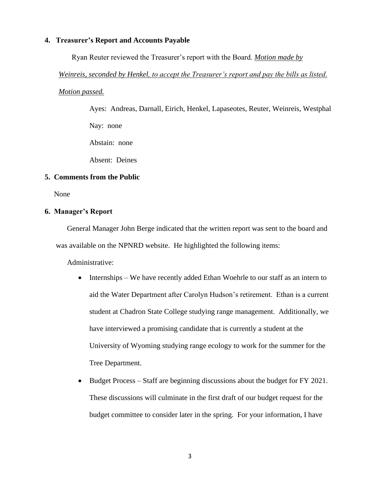#### **4. Treasurer's Report and Accounts Payable**

Ryan Reuter reviewed the Treasurer's report with the Board. *Motion made by* 

### *Weinreis, seconded by Henkel, to accept the Treasurer's report and pay the bills as listed.*

### *Motion passed.*

Ayes: Andreas, Darnall, Eirich, Henkel, Lapaseotes, Reuter, Weinreis, Westphal Nay: none Abstain: none

Absent: Deines

## **5. Comments from the Public**

None

## **6. Manager's Report**

General Manager John Berge indicated that the written report was sent to the board and was available on the NPNRD website. He highlighted the following items:

Administrative:

- Internships We have recently added Ethan Woehrle to our staff as an intern to aid the Water Department after Carolyn Hudson's retirement. Ethan is a current student at Chadron State College studying range management. Additionally, we have interviewed a promising candidate that is currently a student at the University of Wyoming studying range ecology to work for the summer for the Tree Department.
- Budget Process Staff are beginning discussions about the budget for FY 2021. These discussions will culminate in the first draft of our budget request for the budget committee to consider later in the spring. For your information, I have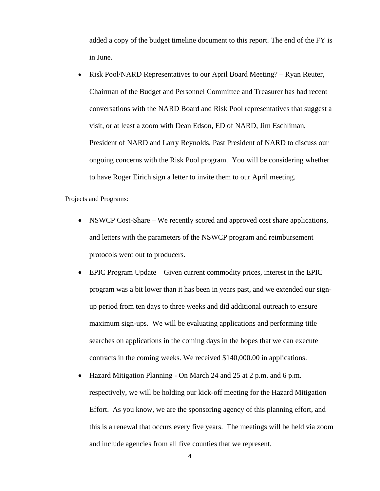added a copy of the budget timeline document to this report. The end of the FY is in June.

• Risk Pool/NARD Representatives to our April Board Meeting? – Ryan Reuter, Chairman of the Budget and Personnel Committee and Treasurer has had recent conversations with the NARD Board and Risk Pool representatives that suggest a visit, or at least a zoom with Dean Edson, ED of NARD, Jim Eschliman, President of NARD and Larry Reynolds, Past President of NARD to discuss our ongoing concerns with the Risk Pool program. You will be considering whether to have Roger Eirich sign a letter to invite them to our April meeting.

Projects and Programs:

- NSWCP Cost-Share We recently scored and approved cost share applications, and letters with the parameters of the NSWCP program and reimbursement protocols went out to producers.
- EPIC Program Update Given current commodity prices, interest in the EPIC program was a bit lower than it has been in years past, and we extended our signup period from ten days to three weeks and did additional outreach to ensure maximum sign-ups. We will be evaluating applications and performing title searches on applications in the coming days in the hopes that we can execute contracts in the coming weeks. We received \$140,000.00 in applications.
- Hazard Mitigation Planning On March 24 and 25 at 2 p.m. and 6 p.m. respectively, we will be holding our kick-off meeting for the Hazard Mitigation Effort. As you know, we are the sponsoring agency of this planning effort, and this is a renewal that occurs every five years. The meetings will be held via zoom and include agencies from all five counties that we represent.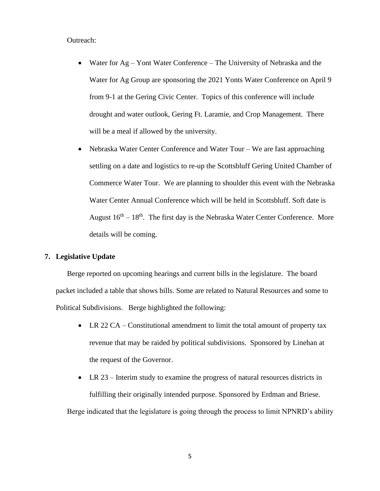#### Outreach:

- Water for Ag Yont Water Conference The University of Nebraska and the Water for Ag Group are sponsoring the 2021 Yonts Water Conference on April 9 from 9-1 at the Gering Civic Center. Topics of this conference will include drought and water outlook, Gering Ft. Laramie, and Crop Management. There will be a meal if allowed by the university.
- Nebraska Water Center Conference and Water Tour We are fast approaching settling on a date and logistics to re-up the Scottsbluff Gering United Chamber of Commerce Water Tour. We are planning to shoulder this event with the Nebraska Water Center Annual Conference which will be held in Scottsbluff. Soft date is August  $16<sup>th</sup> - 18<sup>th</sup>$ . The first day is the Nebraska Water Center Conference. More details will be coming.

## **7. Legislative Update**

Berge reported on upcoming hearings and current bills in the legislature. The board packet included a table that shows bills. Some are related to Natural Resources and some to Political Subdivisions. Berge highlighted the following:

- LR 22 CA Constitutional amendment to limit the total amount of property tax revenue that may be raided by political subdivisions. Sponsored by Linehan at the request of the Governor.
- LR 23 Interim study to examine the progress of natural resources districts in fulfilling their originally intended purpose. Sponsored by Erdman and Briese.

Berge indicated that the legislature is going through the process to limit NPNRD's ability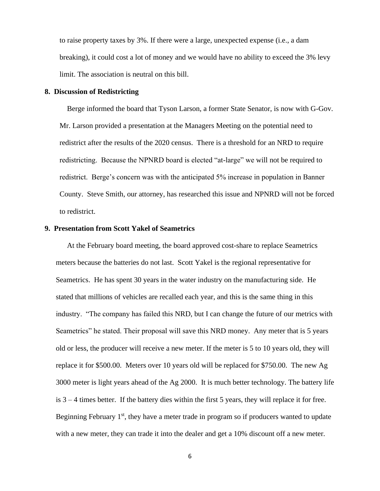to raise property taxes by 3%. If there were a large, unexpected expense (i.e., a dam breaking), it could cost a lot of money and we would have no ability to exceed the 3% levy limit. The association is neutral on this bill.

#### **8. Discussion of Redistricting**

Berge informed the board that Tyson Larson, a former State Senator, is now with G-Gov. Mr. Larson provided a presentation at the Managers Meeting on the potential need to redistrict after the results of the 2020 census. There is a threshold for an NRD to require redistricting. Because the NPNRD board is elected "at-large" we will not be required to redistrict. Berge's concern was with the anticipated 5% increase in population in Banner County. Steve Smith, our attorney, has researched this issue and NPNRD will not be forced to redistrict.

## **9. Presentation from Scott Yakel of Seametrics**

At the February board meeting, the board approved cost-share to replace Seametrics meters because the batteries do not last. Scott Yakel is the regional representative for Seametrics. He has spent 30 years in the water industry on the manufacturing side. He stated that millions of vehicles are recalled each year, and this is the same thing in this industry. "The company has failed this NRD, but I can change the future of our metrics with Seametrics" he stated. Their proposal will save this NRD money. Any meter that is 5 years old or less, the producer will receive a new meter. If the meter is 5 to 10 years old, they will replace it for \$500.00. Meters over 10 years old will be replaced for \$750.00. The new Ag 3000 meter is light years ahead of the Ag 2000. It is much better technology. The battery life is 3 – 4 times better. If the battery dies within the first 5 years, they will replace it for free. Beginning February  $1<sup>st</sup>$ , they have a meter trade in program so if producers wanted to update with a new meter, they can trade it into the dealer and get a 10% discount off a new meter.

6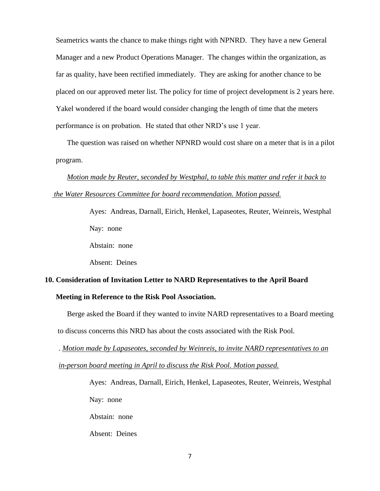Seametrics wants the chance to make things right with NPNRD. They have a new General Manager and a new Product Operations Manager. The changes within the organization, as far as quality, have been rectified immediately. They are asking for another chance to be placed on our approved meter list. The policy for time of project development is 2 years here. Yakel wondered if the board would consider changing the length of time that the meters performance is on probation. He stated that other NRD's use 1 year.

The question was raised on whether NPNRD would cost share on a meter that is in a pilot program.

*Motion made by Reuter, seconded by Westphal, to table this matter and refer it back to the Water Resources Committee for board recommendation. Motion passed.*

> Ayes: Andreas, Darnall, Eirich, Henkel, Lapaseotes, Reuter, Weinreis, Westphal Nay: none Abstain: none

Absent: Deines

Absent: Deines

# **10. Consideration of Invitation Letter to NARD Representatives to the April Board Meeting in Reference to the Risk Pool Association.**

Berge asked the Board if they wanted to invite NARD representatives to a Board meeting to discuss concerns this NRD has about the costs associated with the Risk Pool.

. *Motion made by Lapaseotes, seconded by Weinreis, to invite NARD representatives to an in-person board meeting in April to discuss the Risk Pool. Motion passed.*

> Ayes: Andreas, Darnall, Eirich, Henkel, Lapaseotes, Reuter, Weinreis, Westphal Nay: none Abstain: none